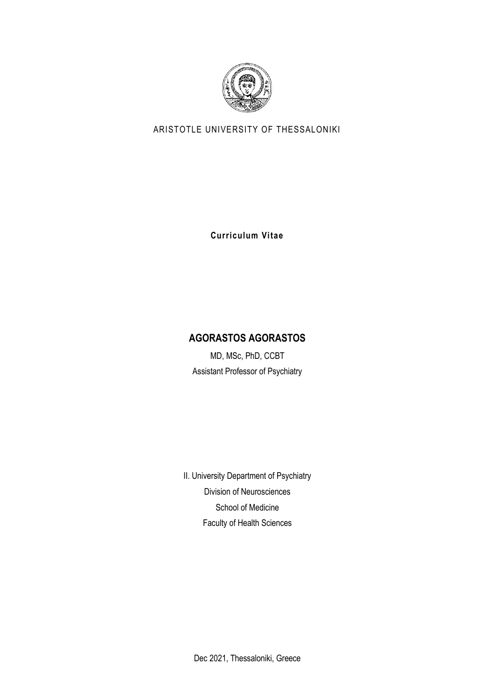

# ARISTOTLE UNIVERSITY OF THESSALONIKI

**Curriculum Vitae**

# **AGORASTOS AGORASTOS**

MD, MSc, PhD, CCBT Assistant Professor of Psychiatry

II. University Department of Psychiatry Division of Neurosciences School of Medicine Faculty of Health Sciences

Dec 2021, Thessaloniki, Greece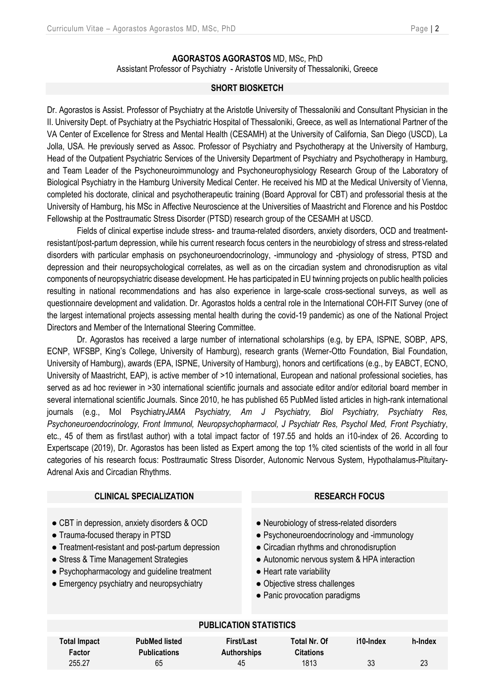#### **AGORASTOS AGORASTOS** MD, MSc, PhD

Assistant Professor of Psychiatry - Aristotle University of Thessaloniki, Greece

#### **SHORT BIOSKETCH**

Dr. Agorastos is Assist. Professor of Psychiatry at the Aristotle University of Thessaloniki and Consultant Physician in the II. University Dept. of Psychiatry at the Psychiatric Hospital of Thessaloniki, Greece, as well as International Partner of the VA Center of Excellence for Stress and Mental Health (CESAMH) at the University of California, San Diego (USCD), La Jolla, USA. He previously served as Assoc. Professor of Psychiatry and Psychotherapy at the University of Hamburg, Head of the Outpatient Psychiatric Services of the University Department of Psychiatry and Psychotherapy in Hamburg, and Team Leader of the Psychoneuroimmunology and Psychoneurophysiology Research Group of the Laboratory of Biological Psychiatry in the Hamburg University Medical Center. He received his MD at the Medical University of Vienna, completed his doctorate, clinical and psychotherapeutic training (Board Approval for CBT) and professorial thesis at the University of Hamburg, his MSc in Affective Neuroscience at the Universities of Maastricht and Florence and his Postdoc Fellowship at the Posttraumatic Stress Disorder (PTSD) research group of the CESAMH at USCD.

Fields of clinical expertise include stress- and trauma-related disorders, anxiety disorders, OCD and treatmentresistant/post-partum depression, while his current research focus centers in the neurobiology of stress and stress-related disorders with particular emphasis on psychoneuroendocrinology, -immunology and -physiology of stress, PTSD and depression and their neuropsychological correlates, as well as on the circadian system and chronodisruption as vital components of neuropsychiatric disease development. He has participated in EU twinning projects on public health policies resulting in national recommendations and has also experience in large-scale cross-sectional surveys, as well as questionnaire development and validation. Dr. Agorastos holds a central role in the International COH-FIT Survey (one of the largest international projects assessing mental health during the covid-19 pandemic) as one of the Νational Project Directors and Member of the International Steering Committee.

Dr. Agorastos has received a large number of international scholarships (e.g, by EPA, ISPNE, SOBP, APS, ECNP, WFSBP, King's College, University of Hamburg), research grants (Werner-Otto Foundation, Bial Foundation, University of Hamburg), awards (EPA, ISPNE, University of Hamburg), honors and certifications (e.g., by EABCT, ECNO, University of Maastricht, EAP), is active member of >10 international, European and national professional societies, has served as ad hoc reviewer in >30 international scientific journals and associate editor and/or editorial board member in several international scientific Journals. Since 2010, he has published 65 PubMed listed articles in high-rank international journals (e.g., Mol Psychiatry*JAMA Psychiatry, Am J Psychiatry, Biol Psychiatry, Psychiatry Res, Psychoneuroendocrinology, Front Immunol, Neuropsychopharmacol, J Psychiatr Res, Psychol Med, Front Psychiatry*, etc., 45 of them as first/last author) with a total impact factor of 197.55 and holds an i10-index of 26. According to Expertscape (2019), Dr. Agorastos has been listed as Expert among the top 1% cited scientists of the world in all four categories of his research focus: Posttraumatic Stress Disorder, Autonomic Nervous System, Hypothalamus-Pituitary-Adrenal Axis and Circadian Rhythms.

#### **CLINICAL SPECIALIZATION RESEARCH FOCUS**

- CBT in depression, anxiety disorders & OCD
- Trauma-focused therapy in PTSD
- Treatment-resistant and post-partum depression
- Stress & Time Management Strategies
- Psychopharmacology and quideline treatment
- Emergency psychiatry and neuropsychiatry

- Neurobiology of stress-related disorders
- Psychoneuroendocrinology and -immunology
- Circadian rhythms and chronodisruption
- Autonomic nervous system & HPA interaction
- Heart rate variability
- Objective stress challenges
- Panic provocation paradigms

#### **PUBLICATION STATISTICS**

| Total Impact | <b>PubMed listed</b> | First/Last         | <b>Total Nr. Of</b> | i10-Index | h-Index |
|--------------|----------------------|--------------------|---------------------|-----------|---------|
| Factor       | <b>Publications</b>  | <b>Authorships</b> | <b>Citations</b>    |           |         |
| 255.27       | 65                   | 45                 | 1813                | 33        | 23      |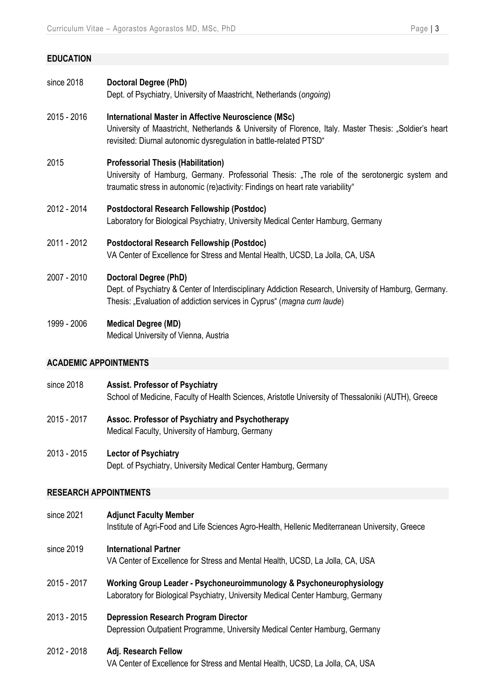#### **EDUCATION**

| since 2018 | Doctoral Degree (PhD)                                                |
|------------|----------------------------------------------------------------------|
|            | Dept. of Psychiatry, University of Maastricht, Netherlands (ongoing) |

2015 - 2016 **International Master in Affective Neuroscience (MSc)** University of Maastricht, Netherlands & University of Florence, Italy. Master Thesis: "Soldier's heart revisited: Diurnal autonomic dysregulation in battle-related PTSD"

2015 **Professorial Thesis (Habilitation)**

University of Hamburg, Germany. Professorial Thesis: "The role of the serotonergic system and traumatic stress in autonomic (re)activity: Findings on heart rate variability"

- 2012 2014 **Postdoctoral Research Fellowship (Postdoc)** Laboratory for Biological Psychiatry, University Medical Center Hamburg, Germany
- 2011 2012 **Postdoctoral Research Fellowship (Postdoc)** VA Center of Excellence for Stress and Mental Health, UCSD, La Jolla, CA, USA
- 2007 2010 **Doctoral Degree (PhD)**

Dept. of Psychiatry & Center of Interdisciplinary Addiction Research, University of Hamburg, Germany. Thesis: "Evaluation of addiction services in Cyprus" (*magna cum laude*)

1999 - 2006 **Medical Degree (MD)**

Medical University of Vienna, Austria

#### **ACADEMIC APPOINTMENTS**

- since 2018 **Assist. Professor of Psychiatry** School of Medicine, Faculty of Health Sciences, Aristotle University of Thessaloniki (AUTH), Greece
- 2015 2017 **Assoc. Professor of Psychiatry and Psychotherapy** Medical Faculty, University of Hamburg, Germany
- 2013 2015 **Lector of Psychiatry**  Dept. of Psychiatry, University Medical Center Hamburg, Germany

#### **RESEARCH APPOINTMENTS**

- since 2021 **Adjunct Faculty Member** Institute of Agri-Food and Life Sciences Agro-Health, Hellenic Mediterranean University, Greece
- since 2019 **International Partner**

VA Center of Excellence for Stress and Mental Health, UCSD, La Jolla, CA, USA

- 2015 2017 **Working Group Leader - Psychoneuroimmunology & Psychoneurophysiology** Laboratory for Biological Psychiatry, University Medical Center Hamburg, Germany
- 2013 2015 **Depression Research Program Director** Depression Outpatient Programme, University Medical Center Hamburg, Germany

#### 2012 - 2018 **Adj. Research Fellow**

VA Center of Excellence for Stress and Mental Health, UCSD, La Jolla, CA, USA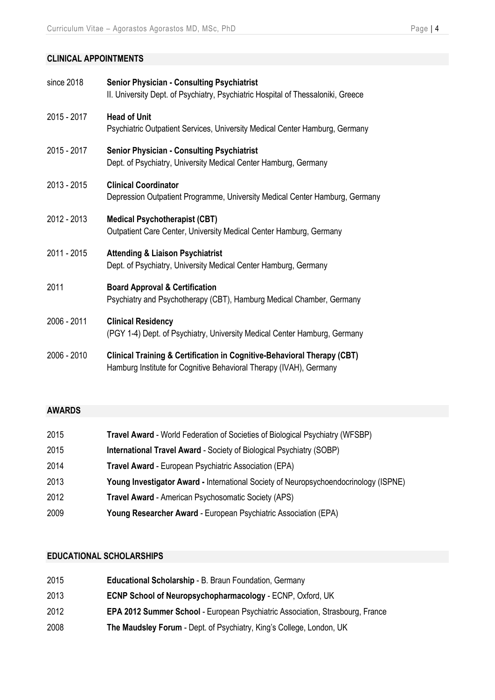## **CLINICAL APPOINTMENTS**

| since 2018  | <b>Senior Physician - Consulting Psychiatrist</b><br>II. University Dept. of Psychiatry, Psychiatric Hospital of Thessaloniki, Greece         |
|-------------|-----------------------------------------------------------------------------------------------------------------------------------------------|
| 2015 - 2017 | <b>Head of Unit</b><br>Psychiatric Outpatient Services, University Medical Center Hamburg, Germany                                            |
| 2015 - 2017 | <b>Senior Physician - Consulting Psychiatrist</b><br>Dept. of Psychiatry, University Medical Center Hamburg, Germany                          |
| 2013 - 2015 | <b>Clinical Coordinator</b><br>Depression Outpatient Programme, University Medical Center Hamburg, Germany                                    |
| 2012 - 2013 | <b>Medical Psychotherapist (CBT)</b><br>Outpatient Care Center, University Medical Center Hamburg, Germany                                    |
| 2011 - 2015 | <b>Attending &amp; Liaison Psychiatrist</b><br>Dept. of Psychiatry, University Medical Center Hamburg, Germany                                |
| 2011        | <b>Board Approval &amp; Certification</b><br>Psychiatry and Psychotherapy (CBT), Hamburg Medical Chamber, Germany                             |
| 2006 - 2011 | <b>Clinical Residency</b><br>(PGY 1-4) Dept. of Psychiatry, University Medical Center Hamburg, Germany                                        |
| 2006 - 2010 | Clinical Training & Certification in Cognitive-Behavioral Therapy (CBT)<br>Hamburg Institute for Cognitive Behavioral Therapy (IVAH), Germany |

#### **AWARDS**

| 2015 | Travel Award - World Federation of Societies of Biological Psychiatry (WFSBP)        |
|------|--------------------------------------------------------------------------------------|
| 2015 | <b>International Travel Award - Society of Biological Psychiatry (SOBP)</b>          |
| 2014 | <b>Travel Award - European Psychiatric Association (EPA)</b>                         |
| 2013 | Young Investigator Award - International Society of Neuropsychoendocrinology (ISPNE) |
| 2012 | <b>Travel Award - American Psychosomatic Society (APS)</b>                           |
| 2009 | Young Researcher Award - European Psychiatric Association (EPA)                      |

## **EDUCATIONAL SCHOLARSHIPS**

| 2015 | Educational Scholarship - B. Braun Foundation, Germany                        |
|------|-------------------------------------------------------------------------------|
| 2013 | <b>ECNP School of Neuropsychopharmacology - ECNP, Oxford, UK</b>              |
| 2012 | EPA 2012 Summer School - European Psychiatric Association, Strasbourg, France |
| 2008 | The Maudsley Forum - Dept. of Psychiatry, King's College, London, UK          |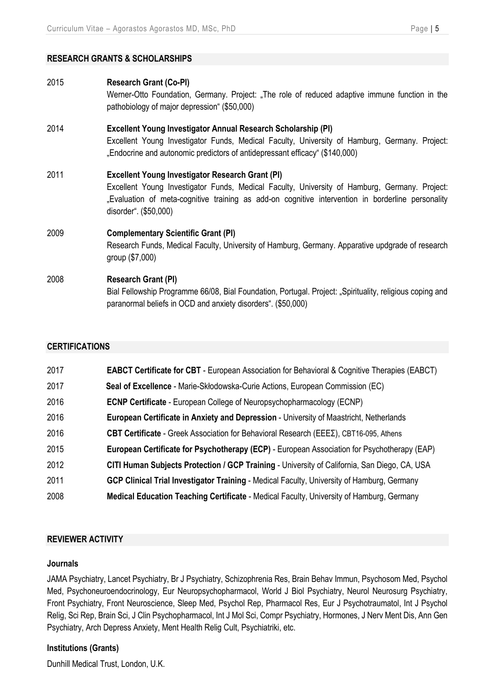#### **RESEARCH GRANTS & SCHOLARSHIPS**

2015 **Research Grant (Co-PI)** Werner-Otto Foundation, Germany. Project: "The role of reduced adaptive immune function in the pathobiology of major depression" (\$50,000) 2014 **Excellent Young Investigator Annual Research Scholarship (PI)** Excellent Young Investigator Funds, Medical Faculty, University of Hamburg, Germany. Project: "Endocrine and autonomic predictors of antidepressant efficacy" (\$140,000) 2011 **Excellent Young Investigator Research Grant (PI)** Excellent Young Investigator Funds, Medical Faculty, University of Hamburg, Germany. Project: "Evaluation of meta-cognitive training as add-on cognitive intervention in borderline personality disorder". (\$50,000) 2009 **Complementary Scientific Grant (PI)** Research Funds, Medical Faculty, University of Hamburg, Germany. Apparative updgrade of research group (\$7,000) 2008 **Research Grant (PI)** Bial Fellowship Programme 66/08, Bial Foundation, Portugal. Project: "Spirituality, religious coping and paranormal beliefs in OCD and anxiety disorders". (\$50,000)

## **CERTIFICATIONS**

| 2017 | <b>EABCT Certificate for CBT</b> - European Association for Behavioral & Cognitive Therapies (EABCT) |
|------|------------------------------------------------------------------------------------------------------|
| 2017 | Seal of Excellence - Marie-Skłodowska-Curie Actions, European Commission (EC)                        |
| 2016 | <b>ECNP Certificate</b> - European College of Neuropsychopharmacology (ECNP)                         |
| 2016 | <b>European Certificate in Anxiety and Depression - University of Maastricht, Netherlands</b>        |
| 2016 | CBT Certificate - Greek Association for Behavioral Research (EEE), CBT16-095, Athens                 |
| 2015 | European Certificate for Psychotherapy (ECP) - European Association for Psychotherapy (EAP)          |
| 2012 | CITI Human Subjects Protection / GCP Training - University of California, San Diego, CA, USA         |
| 2011 | GCP Clinical Trial Investigator Training - Medical Faculty, University of Hamburg, Germany           |
| 2008 | Medical Education Teaching Certificate - Medical Faculty, University of Hamburg, Germany             |

#### **REVIEWER ACTIVITY**

#### **Journals**

JAMA Psychiatry, Lancet Psychiatry, Br J Psychiatry, Schizophrenia Res, Brain Behav Immun, Psychosom Med, Psychol Med, Psychoneuroendocrinology, Eur Neuropsychopharmacol, World J Biol Psychiatry, Neurol Neurosurg Psychiatry, Front Psychiatry, Front Neuroscience, Sleep Med, Psychol Rep, Pharmacol Res, Eur J Psychotraumatol, Int J Psychol Relig, Sci Rep, Brain Sci, J Clin Psychopharmacol, Int J Mol Sci, Compr Psychiatry, Hormones, J Nerv Ment Dis, Ann Gen Psychiatry, Arch Depress Anxiety, Ment Health Relig Cult, Psychiatriki, etc.

#### **Institutions (Grants)**

Dunhill Medical Trust, London, U.K.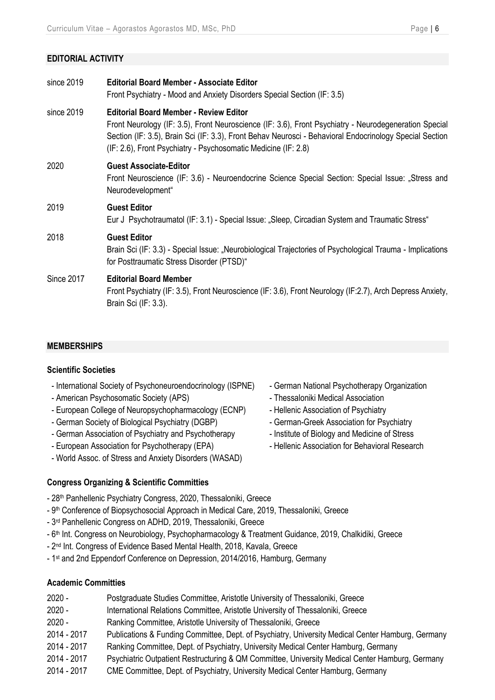## **EDITORIAL ACTIVITY**

| <b>Editorial Board Member - Associate Editor</b><br>Front Psychiatry - Mood and Anxiety Disorders Special Section (IF: 3.5)                                                                                                                                                                                                         |
|-------------------------------------------------------------------------------------------------------------------------------------------------------------------------------------------------------------------------------------------------------------------------------------------------------------------------------------|
| <b>Editorial Board Member - Review Editor</b><br>Front Neurology (IF: 3.5), Front Neuroscience (IF: 3.6), Front Psychiatry - Neurodegeneration Special<br>Section (IF: 3.5), Brain Sci (IF: 3.3), Front Behav Neurosci - Behavioral Endocrinology Special Section<br>(IF: 2.6), Front Psychiatry - Psychosomatic Medicine (IF: 2.8) |
| <b>Guest Associate-Editor</b><br>Front Neuroscience (IF: 3.6) - Neuroendocrine Science Special Section: Special Issue: "Stress and<br>Neurodevelopment"                                                                                                                                                                             |
| <b>Guest Editor</b><br>Eur J Psychotraumatol (IF: 3.1) - Special Issue: "Sleep, Circadian System and Traumatic Stress"                                                                                                                                                                                                              |
| <b>Guest Editor</b><br>Brain Sci (IF: 3.3) - Special Issue: "Neurobiological Trajectories of Psychological Trauma - Implications<br>for Posttraumatic Stress Disorder (PTSD)"                                                                                                                                                       |
| <b>Editorial Board Member</b><br>Front Psychiatry (IF: 3.5), Front Neuroscience (IF: 3.6), Front Neurology (IF: 2.7), Arch Depress Anxiety,<br>Brain Sci (IF: 3.3).                                                                                                                                                                 |
|                                                                                                                                                                                                                                                                                                                                     |

#### **MEMBERSHIPS**

#### **Scientific Societies**

- International Society of Psychoneuroendocrinology (ISPNE)
- American Psychosomatic Society (APS)
- European College of Neuropsychopharmacology (ECNP)
- German Society of Biological Psychiatry (DGBP)
- German Association of Psychiatry and Psychotherapy
- European Association for Psychotherapy (EPA)
- World Assoc. of Stress and Anxiety Disorders (WASAD)

#### **Congress Organizing & Scientific Committies**

- 
- 28<sup>th</sup> Panhellenic Psychiatry Congress, 2020, Thessaloniki, Greece
- 9<sup>th</sup> Conference of Biopsychosocial Approach in Medical Care, 2019, Thessaloniki, Greece
- 3<sup>rd</sup> Panhellenic Congress on ADHD, 2019, Thessaloniki, Greece
- 6<sup>th</sup> Int. Congress on Neurobiology, Psychopharmacology & Treatment Guidance, 2019, Chalkidiki, Greece
- 2<sup>nd</sup> Int. Congress of Evidence Based Mental Health, 2018, Kavala, Greece
- 1 st and 2nd Eppendorf Conference on Depression, 2014/2016, Hamburg, Germany

## **Academic Committies**

- 2020 Postgraduate Studies Committee, Aristotle University of Thessaloniki, Greece
- 2020 International Relations Committee, Aristotle University of Thessaloniki, Greece
- 2020 Ranking Committee, Aristotle University of Thessaloniki, Greece
- 2014 2017 Publications & Funding Committee, Dept. of Psychiatry, University Medical Center Hamburg, Germany
- 2014 2017 Ranking Committee, Dept. of Psychiatry, University Medical Center Hamburg, Germany
- 2014 2017 Psychiatric Outpatient Restructuring & QM Committee, University Medical Center Hamburg, Germany
- 2014 2017 CME Committee, Dept. of Psychiatry, University Medical Center Hamburg, Germany
- German National Psychotherapy Organization
- Thessaloniki Medical Association
- Hellenic Association of Psychiatry
- German-Greek Association for Psychiatry
- Institute of Biology and Medicine of Stress
- Hellenic Association for Behavioral Research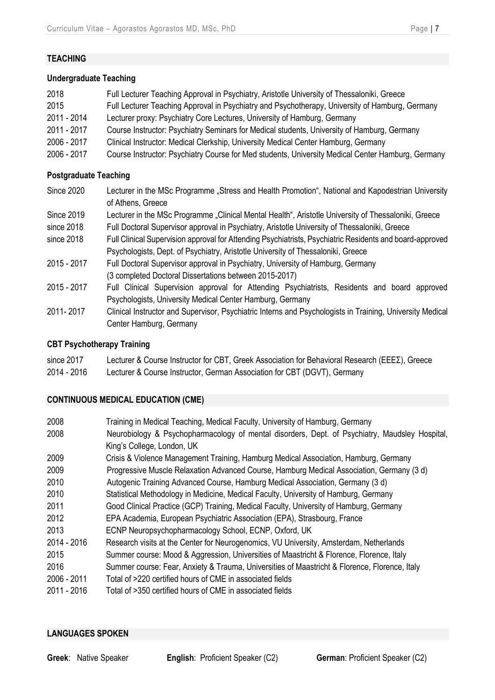## **TEACHING**

#### **Undergraduate Teaching**

| 2018        | Full Lecturer Teaching Approval in Psychiatry, Aristotle University of Thessaloniki, Greece       |
|-------------|---------------------------------------------------------------------------------------------------|
| 2015        | Full Lecturer Teaching Approval in Psychiatry and Psychotherapy, University of Hamburg, Germany   |
| 2011 - 2014 | Lecturer proxy: Psychiatry Core Lectures, University of Hamburg, Germany                          |
| 2011 - 2017 | Course Instructor: Psychiatry Seminars for Medical students, University of Hamburg, Germany       |
| 2006 - 2017 | Clinical Instructor: Medical Clerkship, University Medical Center Hamburg, Germany                |
| 2006 - 2017 | Course Instructor: Psychiatry Course for Med students, University Medical Center Hamburg, Germany |

#### **Postgraduate Teaching**

- Since 2020 Lecturer in the MSc Programme "Stress and Health Promotion", National and Kapodestrian University of Athens, Greece
- Since 2019 Lecturer in the MSc Programme "Clinical Mental Health", Aristotle University of Thessaloniki, Greece
- since 2018 Full Doctoral Supervisor approval in Psychiatry, Aristotle University of Thessaloniki, Greece
- since 2018 Full Clinical Supervision approval for Attending Psychiatrists, Psychiatric Residents and board-approved Psychologists, Dept. of Psychiatry, Aristotle University of Thessaloniki, Greece
- 2015 2017 Full Doctoral Supervisor approval in Psychiatry, University of Hamburg, Germany (3 completed Doctoral Dissertations between 2015-2017)
- 2015 2017 Full Clinical Supervision approval for Attending Psychiatrists, Residents and board approved Psychologists, University Medical Center Hamburg, Germany
- 2011- 2017 Clinical Instructor and Supervisor, Psychiatric Interns and Psychologists in Training, University Medical Center Hamburg, Germany

#### **CBT Psychotherapy Training**

| since 2017  | Lecturer & Course Instructor for CBT, Greek Association for Behavioral Research ( $EEE\Sigma$ ), Greece |
|-------------|---------------------------------------------------------------------------------------------------------|
| 2014 - 2016 | Lecturer & Course Instructor, German Association for CBT (DGVT), Germany                                |

#### **CONTINUOUS MEDICAL EDUCATION (CME)**

| 2008        | Training in Medical Teaching, Medical Faculty, University of Hamburg, Germany                                                |
|-------------|------------------------------------------------------------------------------------------------------------------------------|
| 2008        | Neurobiology & Psychopharmacology of mental disorders, Dept. of Psychiatry, Maudsley Hospital,<br>King's College, London, UK |
| 2009        | Crisis & Violence Management Training, Hamburg Medical Association, Hamburg, Germany                                         |
| 2009        | Progressive Muscle Relaxation Advanced Course, Hamburg Medical Association, Germany (3 d)                                    |
| 2010        | Autogenic Training Advanced Course, Hamburg Medical Association, Germany (3 d)                                               |
| 2010        | Statistical Methodology in Medicine, Medical Faculty, University of Hamburg, Germany                                         |
| 2011        | Good Clinical Practice (GCP) Training, Medical Faculty, University of Hamburg, Germany                                       |
| 2012        | EPA Academia, European Psychiatric Association (EPA), Strasbourg, France                                                     |
| 2013        | ECNP Neuropsychopharmacology School, ECNP, Oxford, UK                                                                        |
| 2014 - 2016 | Research visits at the Center for Neurogenomics, VU University, Amsterdam, Netherlands                                       |
| 2015        | Summer course: Mood & Aggression, Universities of Maastricht & Florence, Florence, Italy                                     |
| 2016        | Summer course: Fear, Anxiety & Trauma, Universities of Maastricht & Florence, Florence, Italy                                |
| 2006 - 2011 | Total of >220 certified hours of CME in associated fields                                                                    |
| 2011 - 2016 | Total of >350 certified hours of CME in associated fields                                                                    |

#### **LANGUAGES SPOKEN**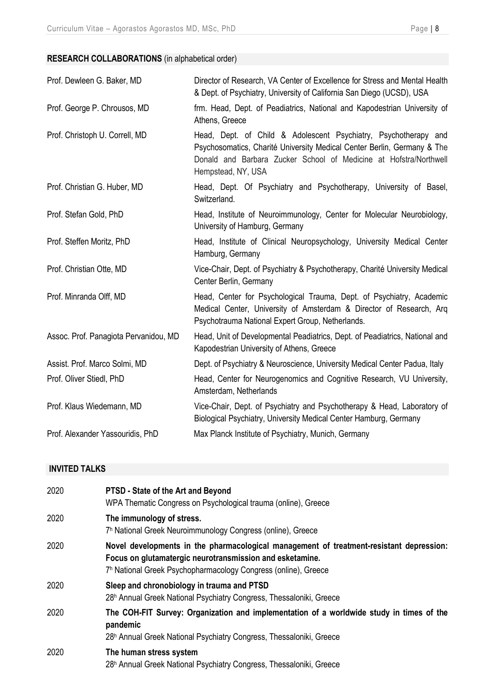## **RESEARCH COLLABORATIONS** (in alphabetical order)

| Prof. Dewleen G. Baker, MD            | Director of Research, VA Center of Excellence for Stress and Mental Health<br>& Dept. of Psychiatry, University of California San Diego (UCSD), USA                                                                                   |
|---------------------------------------|---------------------------------------------------------------------------------------------------------------------------------------------------------------------------------------------------------------------------------------|
| Prof. George P. Chrousos, MD          | frm. Head, Dept. of Peadiatrics, National and Kapodestrian University of<br>Athens, Greece                                                                                                                                            |
| Prof. Christoph U. Correll, MD        | Head, Dept. of Child & Adolescent Psychiatry, Psychotherapy and<br>Psychosomatics, Charité University Medical Center Berlin, Germany & The<br>Donald and Barbara Zucker School of Medicine at Hofstra/Northwell<br>Hempstead, NY, USA |
| Prof. Christian G. Huber, MD          | Head, Dept. Of Psychiatry and Psychotherapy, University of Basel,<br>Switzerland.                                                                                                                                                     |
| Prof. Stefan Gold, PhD                | Head, Institute of Neuroimmunology, Center for Molecular Neurobiology,<br>University of Hamburg, Germany                                                                                                                              |
| Prof. Steffen Moritz, PhD             | Head, Institute of Clinical Neuropsychology, University Medical Center<br>Hamburg, Germany                                                                                                                                            |
| Prof. Christian Otte, MD              | Vice-Chair, Dept. of Psychiatry & Psychotherapy, Charité University Medical<br>Center Berlin, Germany                                                                                                                                 |
| Prof. Minranda Olff, MD               | Head, Center for Psychological Trauma, Dept. of Psychiatry, Academic<br>Medical Center, University of Amsterdam & Director of Research, Arg<br>Psychotrauma National Expert Group, Netherlands.                                       |
| Assoc. Prof. Panagiota Pervanidou, MD | Head, Unit of Developmental Peadiatrics, Dept. of Peadiatrics, National and<br>Kapodestrian University of Athens, Greece                                                                                                              |
| Assist. Prof. Marco Solmi, MD         | Dept. of Psychiatry & Neuroscience, University Medical Center Padua, Italy                                                                                                                                                            |
| Prof. Oliver Stiedl, PhD              | Head, Center for Neurogenomics and Cognitive Research, VU University,<br>Amsterdam, Netherlands                                                                                                                                       |
| Prof. Klaus Wiedemann, MD             | Vice-Chair, Dept. of Psychiatry and Psychotherapy & Head, Laboratory of<br>Biological Psychiatry, University Medical Center Hamburg, Germany                                                                                          |
| Prof. Alexander Yassouridis, PhD      | Max Planck Institute of Psychiatry, Munich, Germany                                                                                                                                                                                   |

# **INVITED TALKS**

| 2020 | PTSD - State of the Art and Beyond<br>WPA Thematic Congress on Psychological trauma (online), Greece                                                                                                                              |
|------|-----------------------------------------------------------------------------------------------------------------------------------------------------------------------------------------------------------------------------------|
| 2020 | The immunology of stress.<br>7 <sup>h</sup> National Greek Neuroimmunology Congress (online), Greece                                                                                                                              |
| 2020 | Novel developments in the pharmacological management of treatment-resistant depression:<br>Focus on glutamatergic neurotransmission and esketamine.<br>7 <sup>h</sup> National Greek Psychopharmacology Congress (online), Greece |
| 2020 | Sleep and chronobiology in trauma and PTSD<br>28 <sup>h</sup> Annual Greek National Psychiatry Congress, Thessaloniki, Greece                                                                                                     |
| 2020 | The COH-FIT Survey: Organization and implementation of a worldwide study in times of the<br>pandemic<br>28 <sup>h</sup> Annual Greek National Psychiatry Congress, Thessaloniki, Greece                                           |
| 2020 | The human stress system<br>28 <sup>h</sup> Annual Greek National Psychiatry Congress, Thessaloniki, Greece                                                                                                                        |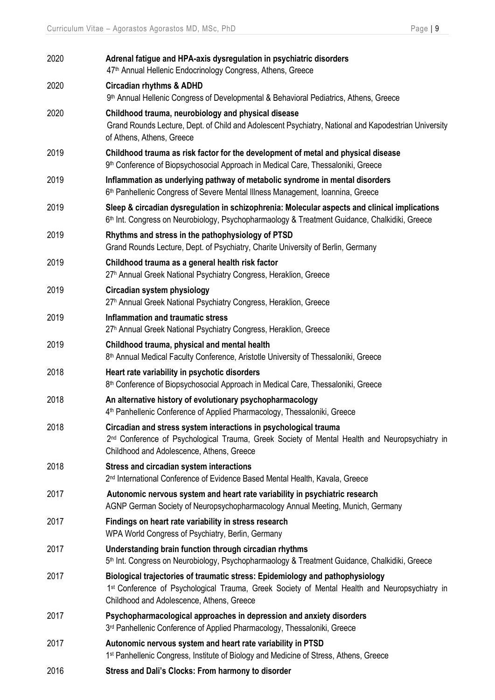| 2020 | Adrenal fatigue and HPA-axis dysregulation in psychiatric disorders<br>47 <sup>th</sup> Annual Hellenic Endocrinology Congress, Athens, Greece                                                                                          |
|------|-----------------------------------------------------------------------------------------------------------------------------------------------------------------------------------------------------------------------------------------|
| 2020 | <b>Circadian rhythms &amp; ADHD</b><br>9 <sup>th</sup> Annual Hellenic Congress of Developmental & Behavioral Pediatrics, Athens, Greece                                                                                                |
| 2020 | Childhood trauma, neurobiology and physical disease<br>Grand Rounds Lecture, Dept. of Child and Adolescent Psychiatry, National and Kapodestrian University<br>of Athens, Athens, Greece                                                |
| 2019 | Childhood trauma as risk factor for the development of metal and physical disease<br>9 <sup>th</sup> Conference of Biopsychosocial Approach in Medical Care, Thessaloniki, Greece                                                       |
| 2019 | Inflammation as underlying pathway of metabolic syndrome in mental disorders<br>6 <sup>th</sup> Panhellenic Congress of Severe Mental Illness Management, Ioannina, Greece                                                              |
| 2019 | Sleep & circadian dysregulation in schizophrenia: Molecular aspects and clinical implications<br>6 <sup>th</sup> Int. Congress on Neurobiology, Psychopharmaology & Treatment Guidance, Chalkidiki, Greece                              |
| 2019 | Rhythms and stress in the pathophysiology of PTSD<br>Grand Rounds Lecture, Dept. of Psychiatry, Charite University of Berlin, Germany                                                                                                   |
| 2019 | Childhood trauma as a general health risk factor<br>27 <sup>h</sup> Annual Greek National Psychiatry Congress, Heraklion, Greece                                                                                                        |
| 2019 | Circadian system physiology<br>27 <sup>h</sup> Annual Greek National Psychiatry Congress, Heraklion, Greece                                                                                                                             |
| 2019 | <b>Inflammation and traumatic stress</b><br>27 <sup>h</sup> Annual Greek National Psychiatry Congress, Heraklion, Greece                                                                                                                |
| 2019 | Childhood trauma, physical and mental health<br>8 <sup>th</sup> Annual Medical Faculty Conference, Aristotle University of Thessaloniki, Greece                                                                                         |
| 2018 | Heart rate variability in psychotic disorders<br>8 <sup>th</sup> Conference of Biopsychosocial Approach in Medical Care, Thessaloniki, Greece                                                                                           |
| 2018 | An alternative history of evolutionary psychopharmacology<br>4 <sup>th</sup> Panhellenic Conference of Applied Pharmacology, Thessaloniki, Greece                                                                                       |
| 2018 | Circadian and stress system interactions in psychological trauma<br>2 <sup>nd</sup> Conference of Psychological Trauma, Greek Society of Mental Health and Neuropsychiatry in<br>Childhood and Adolescence, Athens, Greece              |
| 2018 | Stress and circadian system interactions<br>2 <sup>nd</sup> International Conference of Evidence Based Mental Health, Kavala, Greece                                                                                                    |
| 2017 | Autonomic nervous system and heart rate variability in psychiatric research<br>AGNP German Society of Neuropsychopharmacology Annual Meeting, Munich, Germany                                                                           |
| 2017 | Findings on heart rate variability in stress research<br>WPA World Congress of Psychiatry, Berlin, Germany                                                                                                                              |
| 2017 | Understanding brain function through circadian rhythms<br>5 <sup>th</sup> Int. Congress on Neurobiology, Psychopharmaology & Treatment Guidance, Chalkidiki, Greece                                                                     |
| 2017 | Biological trajectories of traumatic stress: Epidemiology and pathophysiology<br>1 <sup>st</sup> Conference of Psychological Trauma, Greek Society of Mental Health and Neuropsychiatry in<br>Childhood and Adolescence, Athens, Greece |
| 2017 | Psychopharmacological approaches in depression and anxiety disorders<br>3rd Panhellenic Conference of Applied Pharmacology, Thessaloniki, Greece                                                                                        |
| 2017 | Autonomic nervous system and heart rate variability in PTSD<br>1 <sup>st</sup> Panhellenic Congress, Institute of Biology and Medicine of Stress, Athens, Greece                                                                        |
| 2016 | Stress and Dali's Clocks: From harmony to disorder                                                                                                                                                                                      |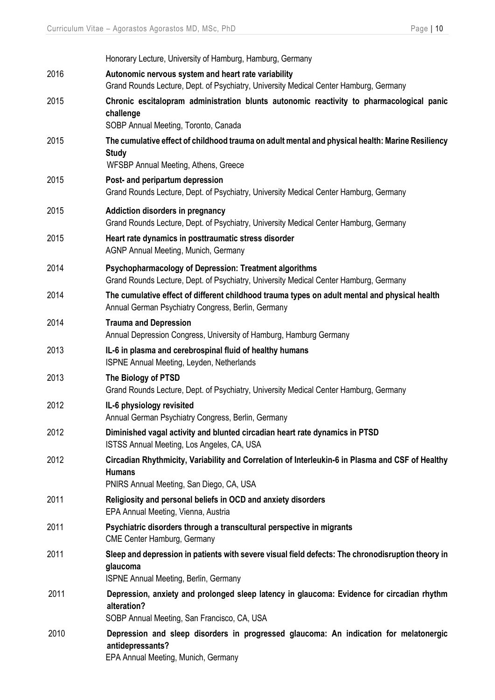|      | Honorary Lecture, University of Hamburg, Hamburg, Germany                                                                                                     |
|------|---------------------------------------------------------------------------------------------------------------------------------------------------------------|
| 2016 | Autonomic nervous system and heart rate variability<br>Grand Rounds Lecture, Dept. of Psychiatry, University Medical Center Hamburg, Germany                  |
| 2015 | Chronic escitalopram administration blunts autonomic reactivity to pharmacological panic<br>challenge<br>SOBP Annual Meeting, Toronto, Canada                 |
| 2015 | The cumulative effect of childhood trauma on adult mental and physical health: Marine Resiliency<br><b>Study</b><br>WFSBP Annual Meeting, Athens, Greece      |
| 2015 | Post- and peripartum depression<br>Grand Rounds Lecture, Dept. of Psychiatry, University Medical Center Hamburg, Germany                                      |
| 2015 | <b>Addiction disorders in pregnancy</b><br>Grand Rounds Lecture, Dept. of Psychiatry, University Medical Center Hamburg, Germany                              |
| 2015 | Heart rate dynamics in posttraumatic stress disorder<br>AGNP Annual Meeting, Munich, Germany                                                                  |
| 2014 | Psychopharmacology of Depression: Treatment algorithms<br>Grand Rounds Lecture, Dept. of Psychiatry, University Medical Center Hamburg, Germany               |
| 2014 | The cumulative effect of different childhood trauma types on adult mental and physical health<br>Annual German Psychiatry Congress, Berlin, Germany           |
| 2014 | <b>Trauma and Depression</b><br>Annual Depression Congress, University of Hamburg, Hamburg Germany                                                            |
| 2013 | IL-6 in plasma and cerebrospinal fluid of healthy humans<br>ISPNE Annual Meeting, Leyden, Netherlands                                                         |
| 2013 | The Biology of PTSD<br>Grand Rounds Lecture, Dept. of Psychiatry, University Medical Center Hamburg, Germany                                                  |
| 2012 | IL-6 physiology revisited<br>Annual German Psychiatry Congress, Berlin, Germany                                                                               |
| 2012 | Diminished vagal activity and blunted circadian heart rate dynamics in PTSD<br>ISTSS Annual Meeting, Los Angeles, CA, USA                                     |
| 2012 | Circadian Rhythmicity, Variability and Correlation of Interleukin-6 in Plasma and CSF of Healthy<br><b>Humans</b><br>PNIRS Annual Meeting, San Diego, CA, USA |
| 2011 | Religiosity and personal beliefs in OCD and anxiety disorders<br>EPA Annual Meeting, Vienna, Austria                                                          |
| 2011 | Psychiatric disorders through a transcultural perspective in migrants<br><b>CME Center Hamburg, Germany</b>                                                   |
| 2011 | Sleep and depression in patients with severe visual field defects: The chronodisruption theory in<br>glaucoma<br>ISPNE Annual Meeting, Berlin, Germany        |
| 2011 | Depression, anxiety and prolonged sleep latency in glaucoma: Evidence for circadian rhythm<br>alteration?<br>SOBP Annual Meeting, San Francisco, CA, USA      |
| 2010 | Depression and sleep disorders in progressed glaucoma: An indication for melatonergic<br>antidepressants?<br>EPA Annual Meeting, Munich, Germany              |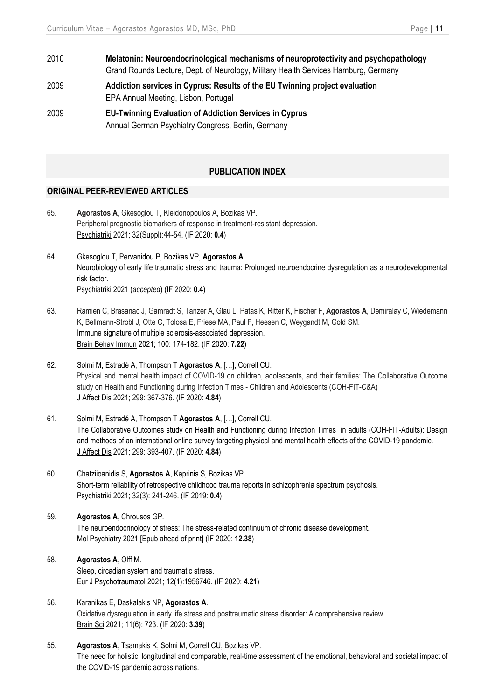- 2010 **Melatonin: Neuroendocrinological mechanisms of neuroprotectivity and psychopathology** Grand Rounds Lecture, Dept. of Neurology, Military Health Services Hamburg, Germany
- 2009 **Addiction services in Cyprus: Results of the EU Twinning project evaluation** EPA Annual Meeting, Lisbon, Portugal
- 2009 **EU-Twinning Evaluation of Addiction Services in Cyprus** Annual German Psychiatry Congress, Berlin, Germany

#### **PUBLICATION INDEX**

#### **ORIGINAL PEER-REVIEWED ARTICLES**

- 65. **Agorastos A**, Gkesoglou T, Kleidonopoulos A, Bozikas VP. Peripheral prognostic biomarkers of response in treatment-resistant depression. Psychiatriki 2021; 32(Suppl):44-54. (IF 2020: **0.4**)
- 64. Gkesoglou T, Pervanidou P, Bozikas VP, **Agorastos A**. Neurobiology of early life traumatic stress and trauma: Prolonged neuroendocrine dysregulation as a neurodevelopmental risk factor. Psychiatriki 2021 (*accepted*) (IF 2020: **0.4**)
- 63. Ramien C, Brasanac J, Gamradt S, Tänzer A, Glau L, Patas K, Ritter K, Fischer F, **Agorastos A**, Demiralay C, Wiedemann K, Bellmann-Strobl J, Otte C, Tolosa E, Friese MA, Paul F, Heesen C, Weygandt M, Gold SM. Immune signature of multiple sclerosis-associated depression. Brain Behav Immun 2021; 100: 174-182. (IF 2020: **7.22**)
- 62. Solmi M, Estradé A, Thompson T **Agorastos A**, […], Correll CU. Physical and mental health impact of COVID-19 on children, adolescents, and their families: The Collaborative Outcome study on Health and Functioning during Infection Times - Children and Adolescents (COH-FIT-C&A) J Affect Dis 2021; 299: 367-376. (IF 2020: **4.84**)
- 61. Solmi M, Estradé A, Thompson T **Agorastos A**, […], Correll CU. The Collaborative Outcomes study on Health and Functioning during Infection Times in adults (COH-FIT-Adults): Design and methods of an international online survey targeting physical and mental health effects of the COVID-19 pandemic. J Affect Dis 2021; 299: 393-407. (IF 2020: **4.84**)
- 60. Chatziioanidis S, **Agorastos A**, Kaprinis S, Bozikas VP. Short-term reliability of retrospective childhood trauma reports in schizophrenia spectrum psychosis. Psychiatriki 2021; 32(3): 241-246. (IF 2019: **0.4**)
- 59. **Agorastos A**, Chrousos GP. The neuroendocrinology of stress: The stress-related continuum of chronic disease development. Mol Psychiatry 2021 [Epub ahead of print] (IF 2020: **12.38**)
- 58. **Agorastos A**, Olff M. Sleep, circadian system and traumatic stress. Eur J Psychotraumatol 2021; 12(1):1956746. (IF 2020: **4.21**)
- 56. Karanikas E, Daskalakis NP, **Agorastos A**. Oxidative dysregulation in early life stress and posttraumatic stress disorder: A comprehensive review. Brain Sci 2021; 11(6): 723. (IF 2020: **3.39**)
- 55. **Agorastos A**, Tsamakis K, Solmi M, Correll CU, Bozikas VP. The need for holistic, longitudinal and comparable, real-time assessment of the emotional, behavioral and societal impact of the COVID-19 pandemic across nations.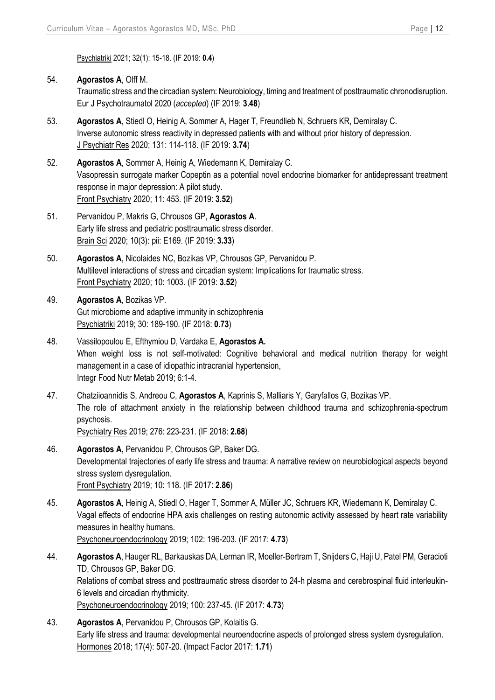Psychiatriki 2021; 32(1): 15-18. (IF 2019: **0.4**)

#### 54. **Agorastos A**, Olff M.

Traumatic stress and the circadian system: Neurobiology, timing and treatment of posttraumatic chronodisruption. Eur J Psychotraumatol 2020 (*accepted*) (IF 2019: **3.48**)

- 53. **Agorastos A**, Stiedl O, Heinig A, Sommer A, Hager T, Freundlieb N, Schruers KR, Demiralay C. Inverse autonomic stress reactivity in depressed patients with and without prior history of depression. J Psychiatr Res 2020; 131: 114-118. (IF 2019: **3.74**)
- 52. **Agorastos A**, Sommer A, Heinig A, Wiedemann K, Demiralay C. Vasopressin surrogate marker Copeptin as a potential novel endocrine biomarker for antidepressant treatment response in major depression: A pilot study. Front Psychiatry 2020; 11: 453. (IF 2019: **3.52**)
- 51. Pervanidou P, Makris G, Chrousos GP, **Agorastos A**. Early life stress and pediatric posttraumatic stress disorder. Brain Sci 2020; 10(3): pii: E169. (IF 2019: **3.33**)
- 50. **Agorastos A**, Nicolaides NC, Bozikas VP, Chrousos GP, Pervanidou P. Multilevel interactions of stress and circadian system: Implications for traumatic stress. Front Psychiatry 2020; 10: 1003. (IF 2019: **3.52**)
- 49. **Agorastos A**, Bozikas VP. Gut microbiome and adaptive immunity in schizophrenia Psychiatriki 2019; 30: 189-190. (IF 2018: **0.73**)
- 48. Vassilopoulou E, Efthymiou D, Vardaka E, **Agorastos A.** When weight loss is not self-motivated: Cognitive behavioral and medical nutrition therapy for weight management in a case of idiopathic intracranial hypertension, Integr Food Nutr Metab 2019; 6:1-4.
- 47. Chatziioannidis S, Andreou C, **Agorastos A**, Kaprinis S, Malliaris Y, Garyfallos G, Bozikas VP. The role of attachment anxiety in the relationship between childhood trauma and schizophrenia-spectrum psychosis.

Psychiatry Res 2019; 276: 223-231. (IF 2018: **2.68**)

- 46. **Agorastos A**, Pervanidou P, Chrousos GP, Baker DG. Developmental trajectories of early life stress and trauma: A narrative review on neurobiological aspects beyond stress system dysregulation. Front Psychiatry 2019; 10: 118. (IF 2017: **2.86**)
- 45. **Agorastos A**, Heinig A, Stiedl O, Hager T, Sommer A, Müller JC, Schruers KR, Wiedemann K, Demiralay C. Vagal effects of endocrine HPA axis challenges on resting autonomic activity assessed by heart rate variability measures in healthy humans. Psychoneuroendocrinology 2019; 102: 196-203. (IF 2017: **4.73**)
- 44. **Agorastos A**, Hauger RL, Barkauskas DA, Lerman IR, Moeller-Bertram T, Snijders C, Haji U, Patel PM, Geracioti TD, Chrousos GP, Baker DG. Relations of combat stress and posttraumatic stress disorder to 24-h plasma and cerebrospinal fluid interleukin-6 levels and circadian rhythmicity. Psychoneuroendocrinology 2019; 100: 237-45. (IF 2017: **4.73**)
- 43. **Agorastos A**, Pervanidou P, Chrousos GP, Kolaitis G. Early life stress and trauma: developmental neuroendocrine aspects of prolonged stress system dysregulation. Hormones 2018; 17(4): 507-20. (Impact Factor 2017: **1.71**)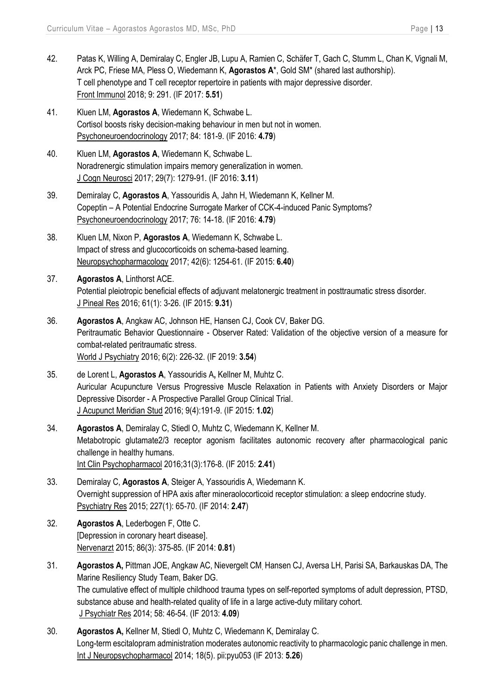- 42. Patas K, Willing A, Demiralay C, Engler JB, Lupu A, Ramien C, Schäfer T, Gach C, Stumm L, Chan K, Vignali M, Arck PC, Friese MA, Pless O, Wiedemann K, **Agorastos A**\*, Gold SM\* (shared last authorship). T cell phenotype and T cell receptor repertoire in patients with major depressive disorder. Front Immunol 2018; 9: 291. (IF 2017: **5.51**)
- 41. Kluen LM, **Agorastos A**, Wiedemann K, Schwabe L. Cortisol boosts risky decision-making behaviour in men but not in women. Psychoneuroendocrinology 2017; 84: 181-9. (IF 2016: **4.79**)
- 40. Kluen LM, **Agorastos A**, Wiedemann K, Schwabe L. Noradrenergic stimulation impairs memory generalization in women. J Cogn Neurosci 2017; 29(7): 1279-91. (IF 2016: **3.11**)
- 39. Demiralay C, **Agorastos A**, Yassouridis A, Jahn H, Wiedemann K, Kellner M. Copeptin – A Potential Endocrine Surrogate Marker of CCK-4-induced Panic Symptoms? Psychoneuroendocrinology 2017; 76: 14-18. (IF 2016: **4.79**)
- 38. Kluen LM, Nixon P, **Agorastos A**, Wiedemann K, Schwabe L. Impact of stress and glucocorticoids on schema-based learning. Neuropsychopharmacology 2017; 42(6): 1254-61. (IF 2015: **6.40**)
- 37. **Agorastos A**, Linthorst ACE. Potential pleiotropic beneficial effects of adjuvant melatonergic treatment in posttraumatic stress disorder. J Pineal Res 2016; 61(1): 3-26. (IF 2015: **9.31**)
- 36. **Agorastos A**, Angkaw AC, Johnson HE, Hansen CJ, Cook CV, Baker DG. Peritraumatic Behavior Questionnaire - Observer Rated: Validation of the objective version of a measure for combat-related peritraumatic stress. World J Psychiatry 2016; 6(2): 226-32. (IF 2019: **3.54**)
- 35. de Lorent L, **Agorastos A**, Yassouridis A**,** Kellner M, Muhtz C. Auricular Acupuncture Versus Progressive Muscle Relaxation in Patients with Anxiety Disorders or Major Depressive Disorder - A Prospective Parallel Group Clinical Trial. J Acupunct Meridian Stud 2016; 9(4):191-9. (IF 2015: **1.02**)
- 34. **Agorastos A**, Demiralay C, Stiedl O, Muhtz C, Wiedemann K, Kellner M. [Metabotropic glutamate2/3 receptor agonism facilitates autonomic recovery after pharmacological panic](http://www.ncbi.nlm.nih.gov/pubmed/26752621)  [challenge in healthy](http://www.ncbi.nlm.nih.gov/pubmed/26752621) humans. Int Clin Psychopharmacol 2016;31(3):176-8. (IF 2015: **2.41**)
- 33. Demiralay C, **Agorastos A**, Steiger A, Yassouridis A, Wiedemann K. Overnight suppression of HPA axis after mineraolocorticoid receptor stimulation: a sleep endocrine study. Psychiatry Res 2015; 227(1): 65-70. (IF 2014: **2.47**)
- 32. **Agorastos A**, Lederbogen F, Otte C. [Depression in coronary heart disease]. Nervenarzt 2015; 86(3): 375-85. (IF 2014: **0.81**)
- 31. **Agorastos A,** Pittman JOE, Angkaw AC, Nievergelt CM, Hansen CJ, Aversa LH, Parisi SA, Barkauskas DA, The Marine Resiliency Study Team, Baker DG. The cumulative effect of multiple childhood trauma types on self-reported symptoms of adult depression, PTSD, substance abuse and health-related quality of life in a large active-duty military cohort. J Psychiatr Res 2014; 58: 46-54. (IF 2013: **4.09**)
- 30. **Agorastos A,** Kellner M, Stiedl O, Muhtz C, Wiedemann K, Demiralay C. Long-term escitalopram administration moderates autonomic reactivity to pharmacologic panic challenge in men. Int J Neuropsychopharmacol 2014; 18(5). pii:pyu053 (IF 2013: **5.26**)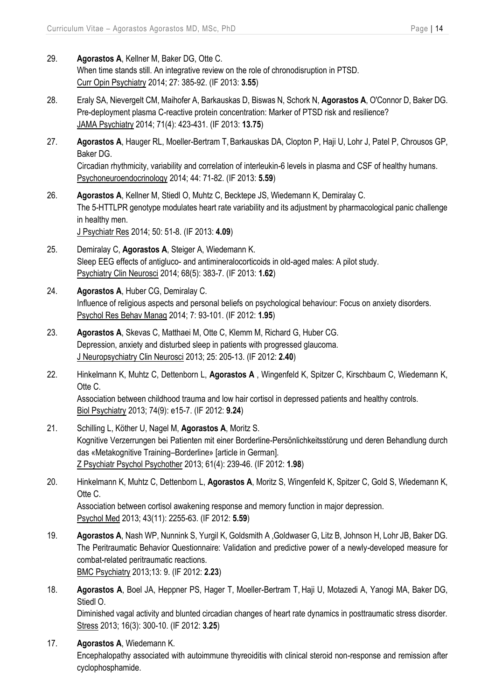- 29. **Agorastos A**, Kellner M, Baker DG, Otte C. When time stands still. An integrative review on the role of chronodisruption in PTSD. Curr Opin Psychiatry 2014; 27: 385-92. (IF 2013: **3.55**)
- 28. Eraly SA, Nievergelt CM, Maihofer A, Barkauskas D, Biswas N, Schork N, **Agorastos A**, O'Connor D, Baker DG. Pre-deployment plasma C-reactive protein concentration: Marker of PTSD risk and resilience? JAMA Psychiatry 2014; 71(4): 423-431. (IF 2013: **13.75**)
- 27. **Agorastos A**, Hauger RL, Moeller-Bertram T, Barkauskas DA, Clopton P, Haji U, Lohr J, Patel P, Chrousos GP, Baker DG. Circadian rhythmicity, variability and correlation of interleukin-6 levels in plasma and CSF of healthy humans. Psychoneuroendocrinology 2014; 44: 71-82. (IF 2013: **5.59**)
- 26. **Agorastos A**, Kellner M, Stiedl O, Muhtz C, Becktepe JS, Wiedemann K, Demiralay C. The 5-HTTLPR genotype modulates heart rate variability and its adjustment by pharmacological panic challenge in healthy men. J Psychiatr Res 2014; 50: 51-8. (IF 2013: **4.09**)
- 25. Demiralay C, **Agorastos A**, Steiger A, Wiedemann K. Sleep EEG effects of antigluco- and antimineralocorticoids in old-aged males: A pilot study. Psychiatry Clin Neurosci 2014; 68(5): 383-7. (IF 2013: **1.62**)
- 24. **Agorastos A**, Huber CG, Demiralay C. Influence of religious aspects and personal beliefs on psychological behaviour: Focus on anxiety disorders. Psychol Res Behav Manag 2014; 7: 93-101. (IF 2012: **1.95**)
- 23. **Agorastos A**, Skevas C, Matthaei M, Otte C, Klemm M, Richard G, Huber CG. Depression, anxiety and disturbed sleep in patients with progressed glaucoma. J Neuropsychiatry Clin Neurosci 2013; 25: 205-13. (IF 2012: **2.40**)
- 22. Hinkelmann K, Muhtz C, Dettenborn L, **Agorastos A** , Wingenfeld K, Spitzer C, Kirschbaum C, Wiedemann K, Otte C. Association between childhood trauma and low hair cortisol in depressed patients and healthy controls. Biol Psychiatry 2013; 74(9): e15-7. (IF 2012: **9.24**)
- 21. Schilling L, Köther U, Nagel M, **Agorastos A**, Moritz S. Kognitive Verzerrungen bei Patienten mit einer Borderline-Persönlichkeitsstörung und deren Behandlung durch das «Metakognitive Training–Borderline» [article in German]. Z Psychiatr Psychol Psychother 2013; 61(4): 239-46. (IF 2012: **1.98**)
- 20. Hinkelmann K, Muhtz C, Dettenborn L, **Agorastos A**, Moritz S, Wingenfeld K, Spitzer C, Gold S, Wiedemann K, Otte C. Association between cortisol awakening response and memory function in major depression. Psychol Med 2013; 43(11): 2255-63. (IF 2012: **5.59**)
- 19. **Agorastos A**, Nash WP, Nunnink S, Yurgil K, Goldsmith A ,Goldwaser G, Litz B, Johnson H, Lohr JB, Baker DG. The Peritraumatic Behavior Questionnaire: Validation and predictive power of a newly-developed measure for combat-related peritraumatic reactions. BMC Psychiatry 2013;13: 9. (IF 2012: **2.23**)
- 18. **Agorastos A**, Boel JA, Heppner PS, Hager T, Moeller-Bertram T, Haji U, Motazedi A, Yanogi MA, Baker DG, Stiedl O.

Diminished vagal activity and blunted circadian changes of heart rate dynamics in posttraumatic stress disorder. Stress 2013; 16(3): 300-10. (IF 2012: **3.25**)

17. **Agorastos A**, Wiedemann K.

Encephalopathy associated with autoimmune thyreoiditis with clinical steroid non-response and remission after cyclophosphamide.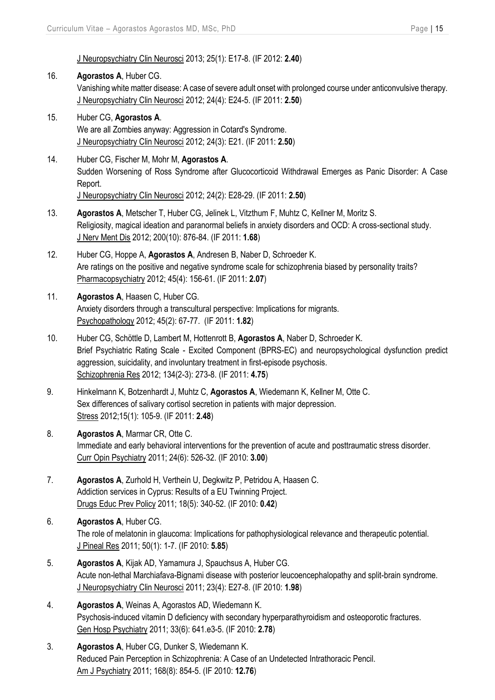J Neuropsychiatry Clin Neurosci 2013; 25(1): E17-8. (IF 2012: **2.40**)

16. **Agorastos A**, Huber CG. Vanishing white matter disease: A case of severe adult onset with prolonged course under anticonvulsive therapy. J Neuropsychiatry Clin Neurosci 2012; 24(4): E24-5. (IF 2011: **2.50**)

## 15. Huber CG, **Agorastos A**. We are all Zombies anyway: Aggression in Cotard's Syndrome. J Neuropsychiatry Clin Neurosci 2012; 24(3): E21. (IF 2011: **2.50**)

- 14. Huber CG, Fischer M, Mohr M, **Agorastos A**. Sudden Worsening of Ross Syndrome after Glucocorticoid Withdrawal Emerges as Panic Disorder: A Case Report. J Neuropsychiatry Clin Neurosci 2012; 24(2): E28-29. (IF 2011: **2.50**)
- 13. **Agorastos A**, Metscher T, Huber CG, Jelinek L, Vitzthum F, Muhtz C, Kellner M, Moritz S. Religiosity, magical ideation and paranormal beliefs in anxiety disorders and OCD: A cross-sectional study. J Nerv Ment Dis 2012; 200(10): 876-84. (IF 2011: **1.68**)
- 12. Huber CG, Hoppe A, **Agorastos A**, Andresen B, Naber D, Schroeder K. Are ratings on the positive and negative syndrome scale for schizophrenia biased by personality traits? Pharmacopsychiatry 2012; 45(4): 156-61. (IF 2011: **2.07**)

## 11. **Agorastos A**, Haasen C, Huber CG. Anxiety disorders through a transcultural perspective: Implications for migrants. Psychopathology 2012; 45(2): 67-77. (IF 2011: **1.82**)

- 10. Huber CG, Schöttle D, Lambert M, Hottenrott B, **Agorastos A**, Naber D, Schroeder K. Brief Psychiatric Rating Scale - Excited Component (BPRS-EC) and neuropsychological dysfunction predict aggression, suicidality, and involuntary treatment in first-episode psychosis. Schizophrenia Res 2012; 134(2-3): 273-8. (IF 2011: **4.75**)
- 9. Hinkelmann K, Botzenhardt J, Muhtz C, **Agorastos A**, Wiedemann K, Kellner M, Otte C. Sex differences of salivary cortisol secretion in patients with major depression. Stress 2012;15(1): 105-9. (IF 2011: **2.48**)
- 8. **Agorastos A**, Marmar CR, Otte C. Immediate and early behavioral interventions for the prevention of acute and posttraumatic stress disorder. Curr Opin Psychiatry 2011; 24(6): 526-32. (IF 2010: **3.00**)
- 7. **Agorastos A**, Zurhold H, Verthein U, Degkwitz P, Petridou A, Haasen C. Addiction services in Cyprus: Results of a EU Twinning Project. Drugs Educ Prev Policy 2011; 18(5): 340-52. (IF 2010: **0.42**)
- 6. **Agorastos A**, Huber CG. The role of melatonin in glaucoma: Implications for pathophysiological relevance and therapeutic potential. J Pineal Res 2011; 50(1): 1-7. (IF 2010: **5.85**)
- 5. **Agorastos A**, Kijak AD, Yamamura J, Spauchsus A, Huber CG. Acute non-lethal Marchiafava-Bignami disease with posterior leucoencephalopathy and split-brain syndrome. J Neuropsychiatry Clin Neurosci 2011; 23(4): E27-8. (IF 2010: **1.98**)
- 4. **Agorastos A**, Weinas A, Agorastos AD, Wiedemann K. Psychosis-induced vitamin D deficiency with secondary hyperparathyroidism and osteoporotic fractures. Gen Hosp Psychiatry 2011; 33(6): 641.e3-5. (IF 2010: **2.78**)
- 3. **Agorastos A**, Huber CG, Dunker S, Wiedemann K. Reduced Pain Perception in Schizophrenia: A Case of an Undetected Intrathoracic Pencil. Am J Psychiatry 2011; 168(8): 854-5. (IF 2010: **12.76**)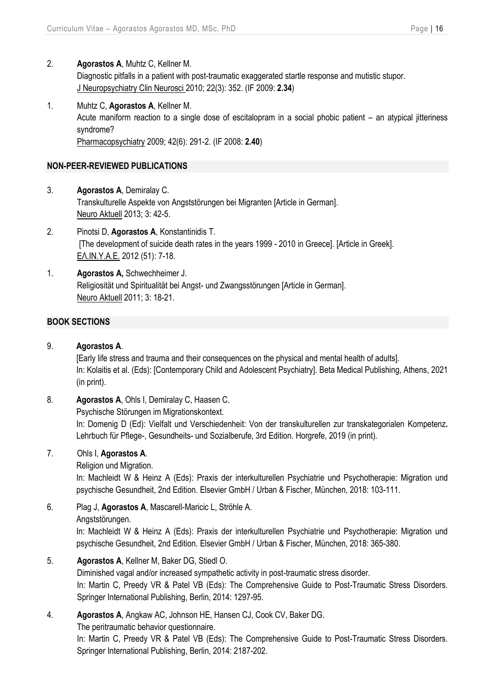- 2. **Agorastos A**, Muhtz C, Kellner M. Diagnostic pitfalls in a patient with post-traumatic exaggerated startle response and mutistic stupor. J Neuropsychiatry Clin Neurosci 2010; 22(3): 352. (IF 2009: **2.34**)
- 1. Muhtz C, **Agorastos A**, Kellner M. Acute maniform reaction to a single dose of escitalopram in a social phobic patient – an atypical jitteriness syndrome? Pharmacopsychiatry 2009; 42(6): 291-2. (IF 2008: **2.40**)

## **NON-PEER-REVIEWED PUBLICATIONS**

- 3. **Agorastos A**, Demiralay C. Transkulturelle Aspekte von Angststörungen bei Migranten [Article in German]. Neuro Aktuell 2013; 3: 42-5.
- 2. Pinotsi D, **Agorastos A**, Konstantinidis T. [The development of suicide death rates in the years 1999 - 2010 in Greece]. [Article in Greek]. ΕΛ.ΙΝ.Υ.Α.Ε. 2012 (51): 7-18.
- 1. **Agorastos A,** Schwechheimer J. Religiosität und Spiritualität bei Angst- und Zwangsstörungen [Article in German]. Neuro Aktuell 2011; 3: 18-21.

#### **BOOK SECTIONS**

## 9. **Agorastos A**.

[Early life stress and trauma and their consequences on the physical and mental health of adults]. In: Kolaitis et al. (Eds): [Contemporary Child and Adolescent Psychiatry]. Beta Medical Publishing, Athens, 2021 (in print).

8. **Agorastos A**, Ohls I, Demiralay C, Haasen C.

Psychische Störungen im Migrationskontext.

In: Domenig D (Ed): Vielfalt und Verschiedenheit: Von der transkulturellen zur transkategorialen Kompetenz**.**  Lehrbuch für Pflege-, Gesundheits- und Sozialberufe, 3rd Edition. Horgrefe, 2019 (in print).

## 7. Ohls I, **Agorastos A**.

Religion und Migration.

In: Machleidt W & Heinz A (Eds): Praxis der interkulturellen Psychiatrie und Psychotherapie: Migration und psychische Gesundheit, 2nd Edition. Elsevier GmbH / Urban & Fischer, München, 2018: 103-111.

6. Plag J, **Agorastos A**, Mascarell-Maricic L, Ströhle A. Angststörungen.

> In: Machleidt W & Heinz A (Eds): Praxis der interkulturellen Psychiatrie und Psychotherapie: Migration und psychische Gesundheit, 2nd Edition. Elsevier GmbH / Urban & Fischer, München, 2018: 365-380.

5. **Agorastos A**, Kellner M, Baker DG, Stiedl O.

Diminished vagal and/or increased sympathetic activity in post-traumatic stress disorder. In: Martin C, Preedy VR & Patel VB (Eds): The Comprehensive Guide to Post-Traumatic Stress Disorders. Springer International Publishing, Berlin, 2014: 1297-95.

4. **Agorastos A**, Angkaw AC, Johnson HE, Hansen CJ, Cook CV, Baker DG.

The peritraumatic behavior questionnaire.

In: Martin C, Preedy VR & Patel VB (Eds): The Comprehensive Guide to Post-Traumatic Stress Disorders. Springer International Publishing, Berlin, 2014: 2187-202.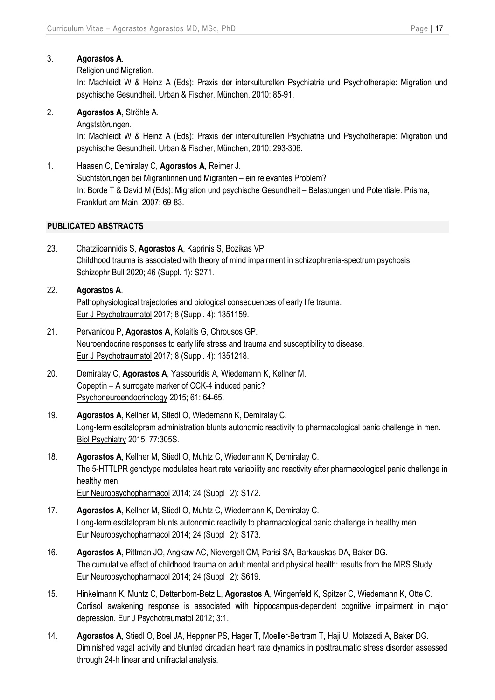## 3. **Agorastos A**.

Religion und Migration.

In: Machleidt W & Heinz A (Eds): Praxis der interkulturellen Psychiatrie und Psychotherapie: Migration und psychische Gesundheit. Urban & Fischer, München, 2010: 85-91.

2. **Agorastos A**, Ströhle A.

Angststörungen.

In: Machleidt W & Heinz A (Eds): Praxis der interkulturellen Psychiatrie und Psychotherapie: Migration und psychische Gesundheit. Urban & Fischer, München, 2010: 293-306.

1. Haasen C, Demiralay C, **Agorastos A**, Reimer J. Suchtstörungen bei Migrantinnen und Migranten – ein relevantes Problem? In: Borde T & David M (Eds): Migration und psychische Gesundheit – Belastungen und Potentiale. Prisma, Frankfurt am Main, 2007: 69-83.

## **PUBLICATED ABSTRACTS**

- 23. Chatziioannidis S, **Agorastos A**, Kaprinis S, Bozikas VP. Childhood trauma is associated with theory of mind impairment in schizophrenia-spectrum psychosis. Schizophr Bull 2020; 46 (Suppl. 1): S271.
- 22. **Agorastos A**. Pathophysiological trajectories and biological consequences of early life trauma. Eur J Psychotraumatol 2017; 8 (Suppl. 4): 1351159.
- 21. Pervanidou P, **Agorastos A**, Kolaitis G, Chrousos GP. Neuroendocrine responses to early life stress and trauma and susceptibility to disease. Eur J Psychotraumatol 2017; 8 (Suppl. 4): 1351218.
- 20. Demiralay C, **Agorastos A**, Yassouridis A, Wiedemann K, Kellner M. Copeptin – A surrogate marker of CCK-4 induced panic? Psychoneuroendocrinology 2015; 61: 64-65.
- 19. **Agorastos A**, Kellner M, Stiedl O, Wiedemann K, Demiralay C. Long-term escitalopram administration blunts autonomic reactivity to pharmacological panic challenge in men. Biol Psychiatry 2015; 77:305S.
- 18. **Agorastos A**, Kellner M, Stiedl O, Muhtz C, Wiedemann K, Demiralay C. The 5-HTTLPR genotype modulates heart rate variability and reactivity after pharmacological panic challenge in healthy men. Eur Neuropsychopharmacol 2014; 24 (Suppl 2): S172.
- 17. **Agorastos A**, Kellner M, Stiedl O, Muhtz C, Wiedemann K, Demiralay C. Long-term escitalopram blunts autonomic reactivity to pharmacological panic challenge in healthy men. Eur Neuropsychopharmacol 2014; 24 (Suppl 2): S173.
- 16. **Agorastos A**, Pittman JO, Angkaw AC, Nievergelt CM, Parisi SA, Barkauskas DA, Baker DG. The cumulative effect of childhood trauma on adult mental and physical health: results from the MRS Study. Eur Neuropsychopharmacol 2014; 24 (Suppl 2): S619.
- 15. Hinkelmann K, Muhtz C, Dettenborn-Betz L, **Agorastos A**, Wingenfeld K, Spitzer C, Wiedemann K, Otte C. Cortisol awakening response is associated with hippocampus-dependent cognitive impairment in major depression. Eur J Psychotraumatol 2012; 3:1.
- 14. **Agorastos A**, Stiedl O, Boel JA, Heppner PS, Hager T, Moeller-Bertram T, Haji U, Motazedi A, Baker DG. Diminished vagal activity and blunted circadian heart rate dynamics in posttraumatic stress disorder assessed through 24-h linear and unifractal analysis.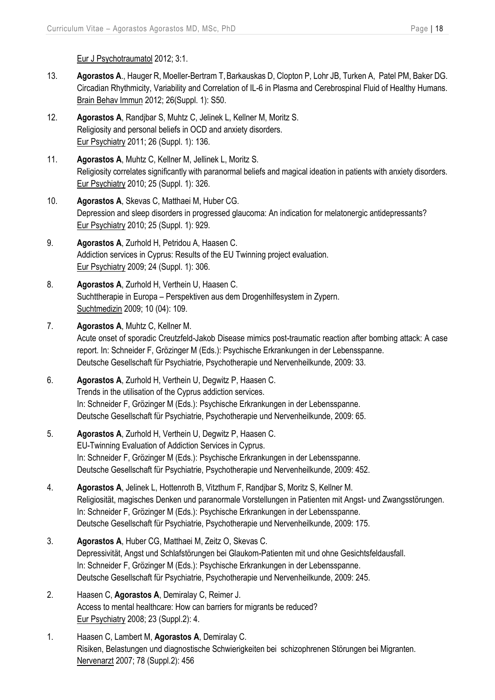Eur J Psychotraumatol 2012; 3:1.

- 13. **Agorastos A**., Hauger R, Moeller-Bertram T,Barkauskas D, Clopton P, Lohr JB, Turken A, Patel PM, Baker DG. Circadian Rhythmicity, Variability and Correlation of IL-6 in Plasma and Cerebrospinal Fluid of Healthy Humans. Brain Behav Immun 2012; 26(Suppl. 1): S50.
- 12. **Agorastos A**, Randjbar S, Muhtz C, Jelinek L, Kellner M, Moritz S. Religiosity and personal beliefs in OCD and anxiety disorders. Eur Psychiatry 2011; 26 (Suppl. 1): 136.
- 11. **Agorastos A**, Muhtz C, Kellner M, Jellinek L, Moritz S. Religiosity correlates significantly with paranormal beliefs and magical ideation in patients with anxiety disorders. Eur Psychiatry 2010; 25 (Suppl. 1): 326.
- 10. **Agorastos A**, Skevas C, Matthaei M, Huber CG. Depression and sleep disorders in progressed glaucoma: An indication for melatonergic antidepressants? Eur Psychiatry 2010; 25 (Suppl. 1): 929.
- 9. **Agorastos A**, Zurhold H, Petridou A, Haasen C. Addiction services in Cyprus: Results of the EU Twinning project evaluation. Eur Psychiatry 2009; 24 (Suppl. 1): 306.
- 8. **Agorastos A**, Zurhold H, Verthein U, Haasen C. Suchttherapie in Europa – Perspektiven aus dem Drogenhilfesystem in Zypern. Suchtmedizin 2009; 10 (04): 109.
- 7. **Agorastos A**, Muhtz C, Kellner M. Acute onset of sporadic Creutzfeld-Jakob Disease mimics post-traumatic reaction after bombing attack: A case report. In: Schneider F, Grözinger M (Eds.): Psychische Erkrankungen in der Lebensspanne. Deutsche Gesellschaft für Psychiatrie, Psychotherapie und Nervenheilkunde, 2009: 33.
- 6. **Agorastos A**, Zurhold H, Verthein U, Degwitz P, Haasen C. Trends in the utilisation of the Cyprus addiction services. In: Schneider F, Grözinger M (Eds.): Psychische Erkrankungen in der Lebensspanne. Deutsche Gesellschaft für Psychiatrie, Psychotherapie und Nervenheilkunde, 2009: 65.
- 5. **Agorastos A**, Zurhold H, Verthein U, Degwitz P, Haasen C. EU-Twinning Evaluation of Addiction Services in Cyprus. In: Schneider F, Grözinger M (Eds.): Psychische Erkrankungen in der Lebensspanne. Deutsche Gesellschaft für Psychiatrie, Psychotherapie und Nervenheilkunde, 2009: 452.
- 4. **Agorastos A**, Jelinek L, Hottenroth B, Vitzthum F, Randjbar S, Moritz S, Kellner M. Religiosität, magisches Denken und paranormale Vorstellungen in Patienten mit Angst- und Zwangsstörungen. In: Schneider F, Grözinger M (Eds.): Psychische Erkrankungen in der Lebensspanne. Deutsche Gesellschaft für Psychiatrie, Psychotherapie und Nervenheilkunde, 2009: 175.
- 3. **Agorastos A**, Huber CG, Matthaei M, Zeitz O, Skevas C. Depressivität, Angst und Schlafstörungen bei Glaukom-Patienten mit und ohne Gesichtsfeldausfall. In: Schneider F, Grözinger M (Eds.): Psychische Erkrankungen in der Lebensspanne. Deutsche Gesellschaft für Psychiatrie, Psychotherapie und Nervenheilkunde, 2009: 245.
- 2. Haasen C, **Agorastos A**, Demiralay C, Reimer J. Access to mental healthcare: How can barriers for migrants be reduced? Eur Psychiatry 2008; 23 (Suppl.2): 4.
- 1. Haasen C, Lambert M, **Agorastos A**, Demiralay C. Risiken, Belastungen und diagnostische Schwierigkeiten bei schizophrenen Störungen bei Migranten. Nervenarzt 2007; 78 (Suppl.2): 456